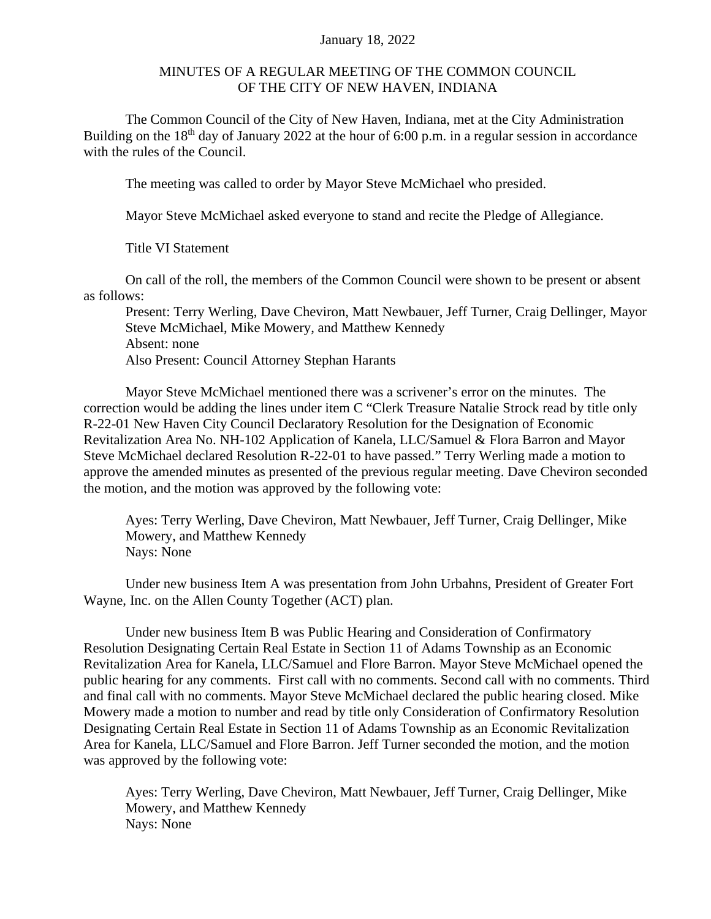## January 18, 2022

## MINUTES OF A REGULAR MEETING OF THE COMMON COUNCIL OF THE CITY OF NEW HAVEN, INDIANA

The Common Council of the City of New Haven, Indiana, met at the City Administration Building on the  $18<sup>th</sup>$  day of January 2022 at the hour of 6:00 p.m. in a regular session in accordance with the rules of the Council.

The meeting was called to order by Mayor Steve McMichael who presided.

Mayor Steve McMichael asked everyone to stand and recite the Pledge of Allegiance.

Title VI Statement

On call of the roll, the members of the Common Council were shown to be present or absent as follows:

Present: Terry Werling, Dave Cheviron, Matt Newbauer, Jeff Turner, Craig Dellinger, Mayor Steve McMichael, Mike Mowery, and Matthew Kennedy Absent: none Also Present: Council Attorney Stephan Harants

Mayor Steve McMichael mentioned there was a scrivener's error on the minutes. The correction would be adding the lines under item C "Clerk Treasure Natalie Strock read by title only R-22-01 New Haven City Council Declaratory Resolution for the Designation of Economic Revitalization Area No. NH-102 Application of Kanela, LLC/Samuel & Flora Barron and Mayor Steve McMichael declared Resolution R-22-01 to have passed." Terry Werling made a motion to approve the amended minutes as presented of the previous regular meeting. Dave Cheviron seconded the motion, and the motion was approved by the following vote:

Ayes: Terry Werling, Dave Cheviron, Matt Newbauer, Jeff Turner, Craig Dellinger, Mike Mowery, and Matthew Kennedy Nays: None

Under new business Item A was presentation from John Urbahns, President of Greater Fort Wayne, Inc. on the Allen County Together (ACT) plan.

Under new business Item B was Public Hearing and Consideration of Confirmatory Resolution Designating Certain Real Estate in Section 11 of Adams Township as an Economic Revitalization Area for Kanela, LLC/Samuel and Flore Barron. Mayor Steve McMichael opened the public hearing for any comments. First call with no comments. Second call with no comments. Third and final call with no comments. Mayor Steve McMichael declared the public hearing closed. Mike Mowery made a motion to number and read by title only Consideration of Confirmatory Resolution Designating Certain Real Estate in Section 11 of Adams Township as an Economic Revitalization Area for Kanela, LLC/Samuel and Flore Barron. Jeff Turner seconded the motion, and the motion was approved by the following vote:

Ayes: Terry Werling, Dave Cheviron, Matt Newbauer, Jeff Turner, Craig Dellinger, Mike Mowery, and Matthew Kennedy Nays: None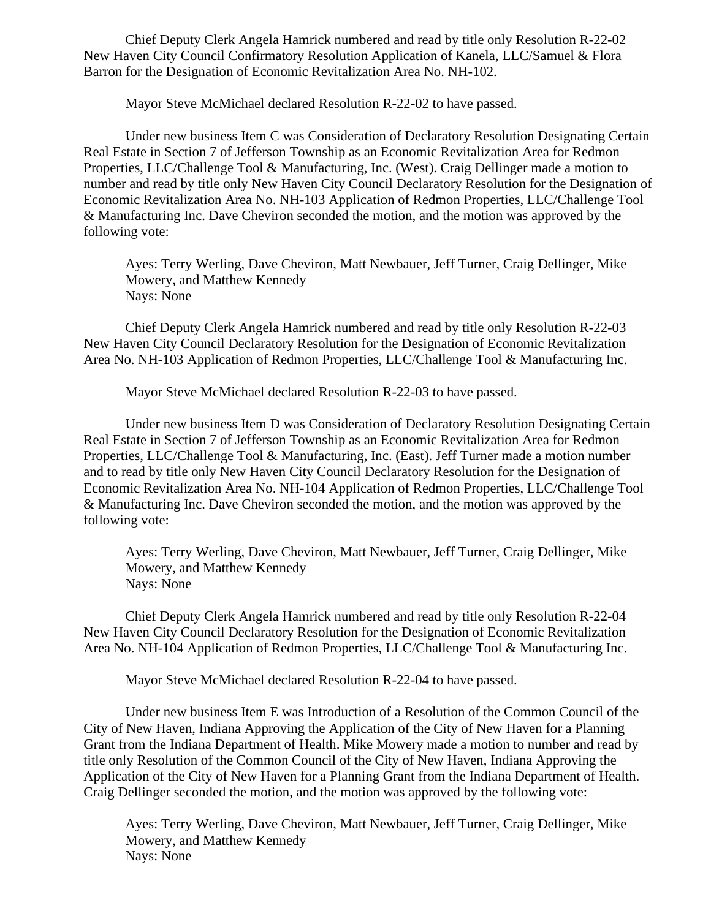Chief Deputy Clerk Angela Hamrick numbered and read by title only Resolution R-22-02 New Haven City Council Confirmatory Resolution Application of Kanela, LLC/Samuel & Flora Barron for the Designation of Economic Revitalization Area No. NH-102.

Mayor Steve McMichael declared Resolution R-22-02 to have passed.

Under new business Item C was Consideration of Declaratory Resolution Designating Certain Real Estate in Section 7 of Jefferson Township as an Economic Revitalization Area for Redmon Properties, LLC/Challenge Tool & Manufacturing, Inc. (West). Craig Dellinger made a motion to number and read by title only New Haven City Council Declaratory Resolution for the Designation of Economic Revitalization Area No. NH-103 Application of Redmon Properties, LLC/Challenge Tool & Manufacturing Inc. Dave Cheviron seconded the motion, and the motion was approved by the following vote:

Ayes: Terry Werling, Dave Cheviron, Matt Newbauer, Jeff Turner, Craig Dellinger, Mike Mowery, and Matthew Kennedy Nays: None

Chief Deputy Clerk Angela Hamrick numbered and read by title only Resolution R-22-03 New Haven City Council Declaratory Resolution for the Designation of Economic Revitalization Area No. NH-103 Application of Redmon Properties, LLC/Challenge Tool & Manufacturing Inc.

Mayor Steve McMichael declared Resolution R-22-03 to have passed.

Under new business Item D was Consideration of Declaratory Resolution Designating Certain Real Estate in Section 7 of Jefferson Township as an Economic Revitalization Area for Redmon Properties, LLC/Challenge Tool & Manufacturing, Inc. (East). Jeff Turner made a motion number and to read by title only New Haven City Council Declaratory Resolution for the Designation of Economic Revitalization Area No. NH-104 Application of Redmon Properties, LLC/Challenge Tool & Manufacturing Inc. Dave Cheviron seconded the motion, and the motion was approved by the following vote:

Ayes: Terry Werling, Dave Cheviron, Matt Newbauer, Jeff Turner, Craig Dellinger, Mike Mowery, and Matthew Kennedy Nays: None

Chief Deputy Clerk Angela Hamrick numbered and read by title only Resolution R-22-04 New Haven City Council Declaratory Resolution for the Designation of Economic Revitalization Area No. NH-104 Application of Redmon Properties, LLC/Challenge Tool & Manufacturing Inc.

Mayor Steve McMichael declared Resolution R-22-04 to have passed.

Under new business Item E was Introduction of a Resolution of the Common Council of the City of New Haven, Indiana Approving the Application of the City of New Haven for a Planning Grant from the Indiana Department of Health. Mike Mowery made a motion to number and read by title only Resolution of the Common Council of the City of New Haven, Indiana Approving the Application of the City of New Haven for a Planning Grant from the Indiana Department of Health. Craig Dellinger seconded the motion, and the motion was approved by the following vote:

Ayes: Terry Werling, Dave Cheviron, Matt Newbauer, Jeff Turner, Craig Dellinger, Mike Mowery, and Matthew Kennedy Nays: None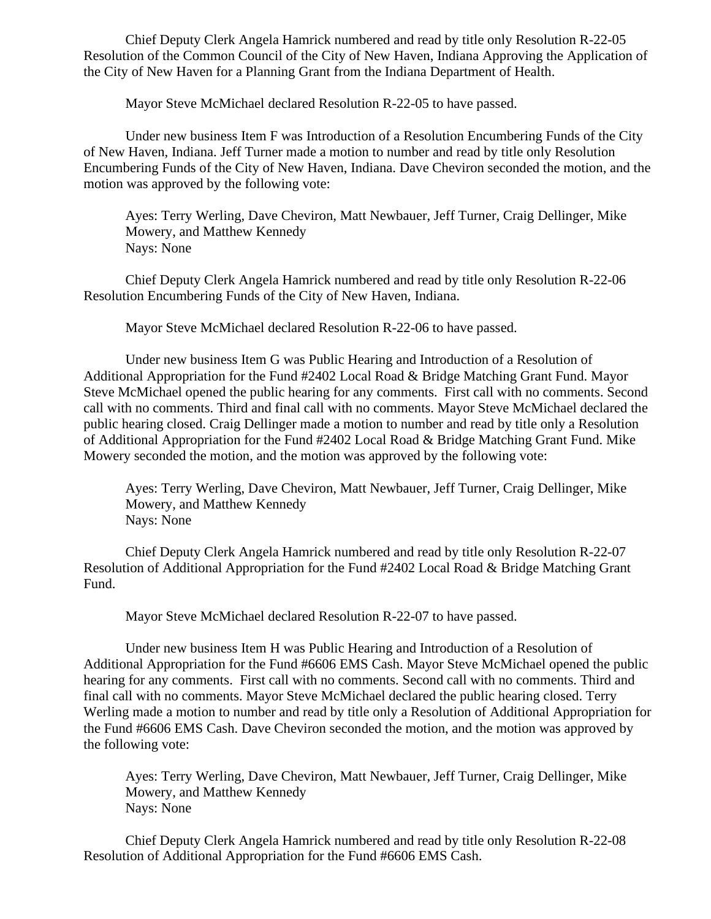Chief Deputy Clerk Angela Hamrick numbered and read by title only Resolution R-22-05 Resolution of the Common Council of the City of New Haven, Indiana Approving the Application of the City of New Haven for a Planning Grant from the Indiana Department of Health.

Mayor Steve McMichael declared Resolution R-22-05 to have passed.

Under new business Item F was Introduction of a Resolution Encumbering Funds of the City of New Haven, Indiana. Jeff Turner made a motion to number and read by title only Resolution Encumbering Funds of the City of New Haven, Indiana. Dave Cheviron seconded the motion, and the motion was approved by the following vote:

Ayes: Terry Werling, Dave Cheviron, Matt Newbauer, Jeff Turner, Craig Dellinger, Mike Mowery, and Matthew Kennedy Nays: None

Chief Deputy Clerk Angela Hamrick numbered and read by title only Resolution R-22-06 Resolution Encumbering Funds of the City of New Haven, Indiana.

Mayor Steve McMichael declared Resolution R-22-06 to have passed.

Under new business Item G was Public Hearing and Introduction of a Resolution of Additional Appropriation for the Fund #2402 Local Road & Bridge Matching Grant Fund. Mayor Steve McMichael opened the public hearing for any comments. First call with no comments. Second call with no comments. Third and final call with no comments. Mayor Steve McMichael declared the public hearing closed. Craig Dellinger made a motion to number and read by title only a Resolution of Additional Appropriation for the Fund #2402 Local Road & Bridge Matching Grant Fund. Mike Mowery seconded the motion, and the motion was approved by the following vote:

Ayes: Terry Werling, Dave Cheviron, Matt Newbauer, Jeff Turner, Craig Dellinger, Mike Mowery, and Matthew Kennedy Nays: None

Chief Deputy Clerk Angela Hamrick numbered and read by title only Resolution R-22-07 Resolution of Additional Appropriation for the Fund #2402 Local Road & Bridge Matching Grant Fund.

Mayor Steve McMichael declared Resolution R-22-07 to have passed.

Under new business Item H was Public Hearing and Introduction of a Resolution of Additional Appropriation for the Fund #6606 EMS Cash. Mayor Steve McMichael opened the public hearing for any comments. First call with no comments. Second call with no comments. Third and final call with no comments. Mayor Steve McMichael declared the public hearing closed. Terry Werling made a motion to number and read by title only a Resolution of Additional Appropriation for the Fund #6606 EMS Cash. Dave Cheviron seconded the motion, and the motion was approved by the following vote:

Ayes: Terry Werling, Dave Cheviron, Matt Newbauer, Jeff Turner, Craig Dellinger, Mike Mowery, and Matthew Kennedy Nays: None

Chief Deputy Clerk Angela Hamrick numbered and read by title only Resolution R-22-08 Resolution of Additional Appropriation for the Fund #6606 EMS Cash.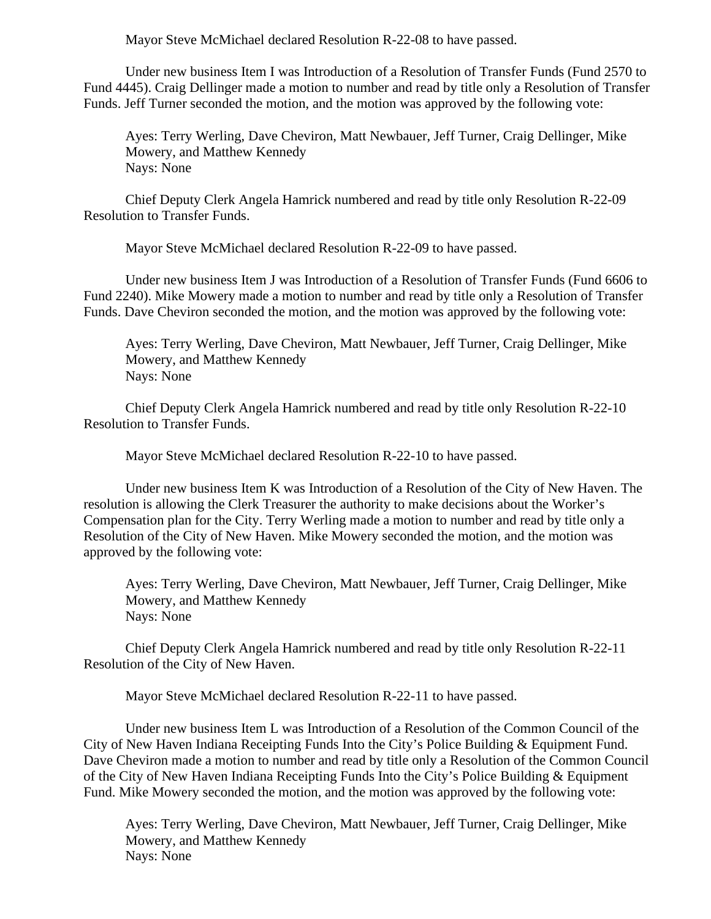Mayor Steve McMichael declared Resolution R-22-08 to have passed.

Under new business Item I was Introduction of a Resolution of Transfer Funds (Fund 2570 to Fund 4445). Craig Dellinger made a motion to number and read by title only a Resolution of Transfer Funds. Jeff Turner seconded the motion, and the motion was approved by the following vote:

Ayes: Terry Werling, Dave Cheviron, Matt Newbauer, Jeff Turner, Craig Dellinger, Mike Mowery, and Matthew Kennedy Nays: None

Chief Deputy Clerk Angela Hamrick numbered and read by title only Resolution R-22-09 Resolution to Transfer Funds.

Mayor Steve McMichael declared Resolution R-22-09 to have passed.

Under new business Item J was Introduction of a Resolution of Transfer Funds (Fund 6606 to Fund 2240). Mike Mowery made a motion to number and read by title only a Resolution of Transfer Funds. Dave Cheviron seconded the motion, and the motion was approved by the following vote:

Ayes: Terry Werling, Dave Cheviron, Matt Newbauer, Jeff Turner, Craig Dellinger, Mike Mowery, and Matthew Kennedy Nays: None

Chief Deputy Clerk Angela Hamrick numbered and read by title only Resolution R-22-10 Resolution to Transfer Funds.

Mayor Steve McMichael declared Resolution R-22-10 to have passed.

Under new business Item K was Introduction of a Resolution of the City of New Haven. The resolution is allowing the Clerk Treasurer the authority to make decisions about the Worker's Compensation plan for the City. Terry Werling made a motion to number and read by title only a Resolution of the City of New Haven. Mike Mowery seconded the motion, and the motion was approved by the following vote:

Ayes: Terry Werling, Dave Cheviron, Matt Newbauer, Jeff Turner, Craig Dellinger, Mike Mowery, and Matthew Kennedy Nays: None

Chief Deputy Clerk Angela Hamrick numbered and read by title only Resolution R-22-11 Resolution of the City of New Haven.

Mayor Steve McMichael declared Resolution R-22-11 to have passed.

Under new business Item L was Introduction of a Resolution of the Common Council of the City of New Haven Indiana Receipting Funds Into the City's Police Building & Equipment Fund. Dave Cheviron made a motion to number and read by title only a Resolution of the Common Council of the City of New Haven Indiana Receipting Funds Into the City's Police Building & Equipment Fund. Mike Mowery seconded the motion, and the motion was approved by the following vote:

Ayes: Terry Werling, Dave Cheviron, Matt Newbauer, Jeff Turner, Craig Dellinger, Mike Mowery, and Matthew Kennedy Nays: None